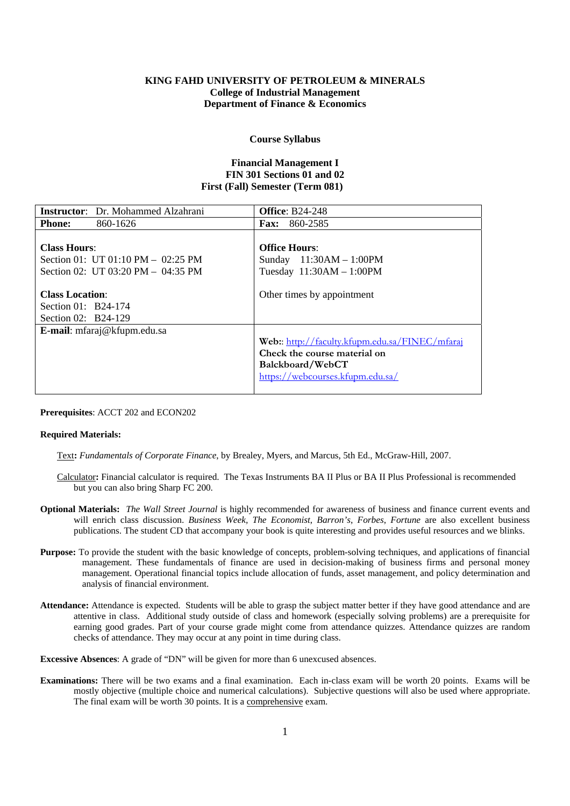# **KING FAHD UNIVERSITY OF PETROLEUM & MINERALS College of Industrial Management Department of Finance & Economics**

### **Course Syllabus**

## **Financial Management I FIN 301 Sections 01 and 02 First (Fall) Semester (Term 081)**

| <b>Instructor:</b> Dr. Mohammed Alzahrani | <b>Office: B24-248</b>                         |  |  |
|-------------------------------------------|------------------------------------------------|--|--|
| 860-1626<br><b>Phone:</b>                 | <b>Fax:</b> 860-2585                           |  |  |
|                                           |                                                |  |  |
| <b>Class Hours:</b>                       | <b>Office Hours:</b>                           |  |  |
| Section 01: UT 01:10 PM $-$ 02:25 PM      | Sunday 11:30AM - 1:00PM                        |  |  |
| Section 02: UT 03:20 PM $-$ 04:35 PM      | Tuesday $11:30AM - 1:00PM$                     |  |  |
| <b>Class Location:</b>                    | Other times by appointment                     |  |  |
| Section 01: B24-174                       |                                                |  |  |
| Section 02: B24-129                       |                                                |  |  |
| E-mail: mfaraj@kfupm.edu.sa               |                                                |  |  |
|                                           | Web:: http://faculty.kfupm.edu.sa/FINEC/mfaraj |  |  |
|                                           | Check the course material on                   |  |  |
|                                           | Balckboard/WebCT                               |  |  |
|                                           | https://webcourses.kfupm.edu.sa/               |  |  |
|                                           |                                                |  |  |

**Prerequisites**: ACCT 202 and ECON202

## **Required Materials:**

- Text**:** *Fundamentals of Corporate Finance*, by Brealey, Myers, and Marcus, 5th Ed., McGraw-Hill, 2007.
- Calculator**:** Financial calculator is required. The Texas Instruments BA II Plus or BA II Plus Professional is recommended but you can also bring Sharp FC 200.
- **Optional Materials:** *The Wall Street Journal* is highly recommended for awareness of business and finance current events and will enrich class discussion. *Business Week, The Economist*, *Barron's*, *Forbes*, *Fortune* are also excellent business publications. The student CD that accompany your book is quite interesting and provides useful resources and we blinks.
- **Purpose:** To provide the student with the basic knowledge of concepts, problem-solving techniques, and applications of financial management. These fundamentals of finance are used in decision-making of business firms and personal money management. Operational financial topics include allocation of funds, asset management, and policy determination and analysis of financial environment.
- **Attendance:** Attendance is expected. Students will be able to grasp the subject matter better if they have good attendance and are attentive in class. Additional study outside of class and homework (especially solving problems) are a prerequisite for earning good grades. Part of your course grade might come from attendance quizzes. Attendance quizzes are random checks of attendance. They may occur at any point in time during class.

**Excessive Absences**: A grade of "DN" will be given for more than 6 unexcused absences.

**Examinations:** There will be two exams and a final examination. Each in-class exam will be worth 20 points. Exams will be mostly objective (multiple choice and numerical calculations). Subjective questions will also be used where appropriate. The final exam will be worth 30 points. It is a comprehensive exam.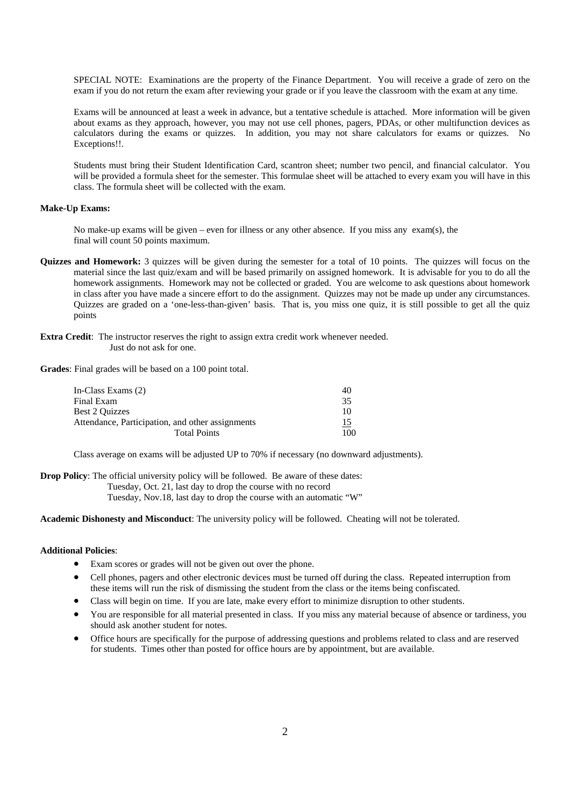SPECIAL NOTE: Examinations are the property of the Finance Department. You will receive a grade of zero on the exam if you do not return the exam after reviewing your grade or if you leave the classroom with the exam at any time.

Exams will be announced at least a week in advance, but a tentative schedule is attached. More information will be given about exams as they approach, however, you may not use cell phones, pagers, PDAs, or other multifunction devices as calculators during the exams or quizzes. In addition, you may not share calculators for exams or quizzes. No Exceptions!!.

Students must bring their Student Identification Card, scantron sheet; number two pencil, and financial calculator. You will be provided a formula sheet for the semester. This formulae sheet will be attached to every exam you will have in this class. The formula sheet will be collected with the exam.

### **Make-Up Exams:**

No make-up exams will be given – even for illness or any other absence. If you miss any exam(s), the final will count 50 points maximum.

- **Quizzes and Homework:** 3 quizzes will be given during the semester for a total of 10 points. The quizzes will focus on the material since the last quiz/exam and will be based primarily on assigned homework. It is advisable for you to do all the homework assignments. Homework may not be collected or graded. You are welcome to ask questions about homework in class after you have made a sincere effort to do the assignment. Quizzes may not be made up under any circumstances. Quizzes are graded on a 'one-less-than-given' basis. That is, you miss one quiz, it is still possible to get all the quiz points
- **Extra Credit**: The instructor reserves the right to assign extra credit work whenever needed. Just do not ask for one.
- **Grades**: Final grades will be based on a 100 point total.

| In-Class Exams $(2)$                             | 40         |
|--------------------------------------------------|------------|
| Final Exam                                       | 35         |
| Best 2 Ouizzes                                   | 10         |
| Attendance, Participation, and other assignments | <u> 15</u> |
| <b>Total Points</b>                              | 100        |

Class average on exams will be adjusted UP to 70% if necessary (no downward adjustments).

**Drop Policy**: The official university policy will be followed. Be aware of these dates:

Tuesday, Oct. 21, last day to drop the course with no record

Tuesday, Nov.18, last day to drop the course with an automatic "W"

# **Academic Dishonesty and Misconduct**: The university policy will be followed. Cheating will not be tolerated.

## **Additional Policies**:

- Exam scores or grades will not be given out over the phone.
- Cell phones, pagers and other electronic devices must be turned off during the class. Repeated interruption from these items will run the risk of dismissing the student from the class or the items being confiscated.
- Class will begin on time. If you are late, make every effort to minimize disruption to other students.
- You are responsible for all material presented in class. If you miss any material because of absence or tardiness, you should ask another student for notes.
- Office hours are specifically for the purpose of addressing questions and problems related to class and are reserved for students. Times other than posted for office hours are by appointment, but are available.